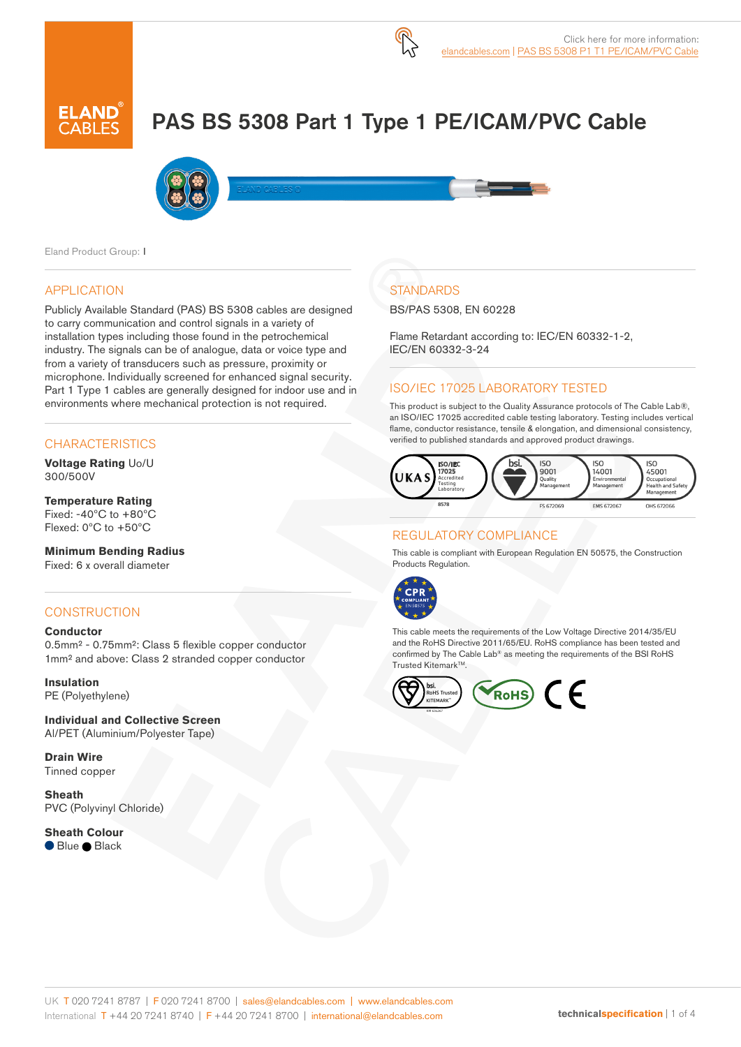# PAS BS 5308 Part 1 Type 1 PE/ICAM/PVC Cable



Eland Product Group: I

#### APPLICATION

Publicly Available Standard (PAS) BS 5308 cables are designed to carry communication and control signals in a variety of installation types including those found in the petrochemical industry. The signals can be of analogue, data or voice type and from a variety of transducers such as pressure, proximity or microphone. Individually screened for enhanced signal security. Part 1 Type 1 cables are generally designed for indoor use and in environments where mechanical protection is not required.

## **CHARACTERISTICS**

**Voltage Rating** Uo/U 300/500V

#### **Temperature Rating** Fixed: -40ºC to +80ºC Flexed: 0ºC to +50ºC

**Minimum Bending Radius**  Fixed: 6 x overall diameter

## **CONSTRUCTION**

#### **Conductor**

0.5mm² - 0.75mm²: Class 5 flexible copper conductor 1mm² and above: Class 2 stranded copper conductor

**Insulation** PE (Polyethylene)

**Individual and Collective Screen** Al/PET (Aluminium/Polyester Tape)

**Drain Wire** Tinned copper

**Sheath** PVC (Polyvinyl Chloride)

**Sheath Colour** ● Blue ● Black

## **STANDARDS**

BS/PAS 5308, EN 60228

Flame Retardant according to: IEC/EN 60332-1-2, IEC/EN 60332-3-24

#### ISO/IEC 17025 LABORATORY TESTED

This product is subject to the Quality Assurance protocols of The Cable Lab®, an ISO/IEC 17025 accredited cable testing laboratory. Testing includes vertical flame, conductor resistance, tensile & elongation, and dimensional consistency, verified to published standards and approved product drawings.



## REGULATORY COMPLIANCE

This cable is compliant with European Regulation EN 50575, the Construction Products Regulation.



This cable meets the requirements of the Low Voltage Directive 2014/35/EU and the RoHS Directive 2011/65/EU. RoHS compliance has been tested and confirmed by The Cable Lab® as meeting the requirements of the BSI RoHS Trusted Kitemark<sup>™</sup>.

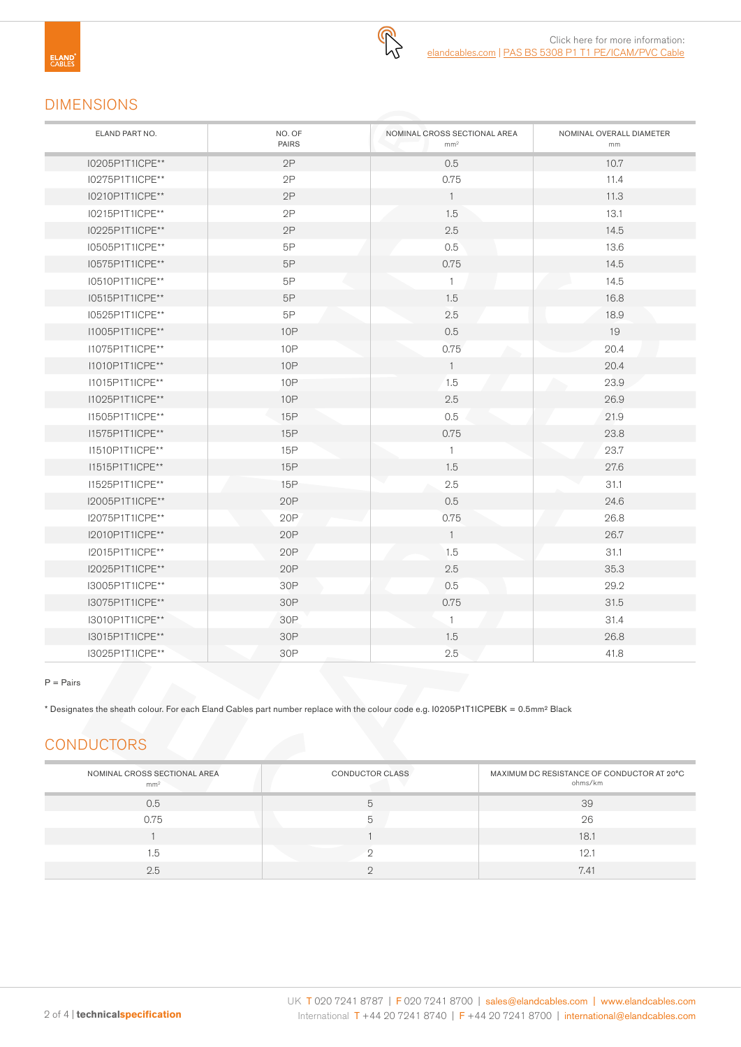## DIMENSIONS

| ELAND PART NO.  | NO. OF<br><b>PAIRS</b> | NOMINAL CROSS SECTIONAL AREA<br>mm <sup>2</sup> | NOMINAL OVERALL DIAMETER<br>mm |
|-----------------|------------------------|-------------------------------------------------|--------------------------------|
| I0205P1T1ICPE** | 2P                     | 0.5                                             | 10.7                           |
| I0275P1T1ICPE** | 2P                     | 0.75                                            | 11.4                           |
| 10210P1T1ICPE** | 2P                     | $\mathbf{1}$                                    | 11.3                           |
| I0215P1T1ICPE** | 2P                     | 1.5                                             | 13.1                           |
| I0225P1T1ICPE** | 2P                     | 2.5                                             | 14.5                           |
| I0505P1T1ICPE** | 5P                     | 0.5                                             | 13.6                           |
| I0575P1T1ICPE** | 5P                     | 0.75                                            | 14.5                           |
| I0510P1T1ICPE** | 5P                     | $\mathbf{1}$                                    | 14.5                           |
| I0515P1T1ICPE** | 5P                     | 1.5                                             | 16.8                           |
| I0525P1T1ICPE** | 5P                     | 2.5                                             | 18.9                           |
| I1005P1T1ICPE** | <b>10P</b>             | 0.5                                             | 19                             |
| I1075P1T1ICPE** | 10P                    | 0.75                                            | 20.4                           |
| I1010P1T1ICPE** | <b>10P</b>             | $\overline{1}$                                  | 20.4                           |
| I1015P1T1ICPE** | <b>10P</b>             | 1.5                                             | 23.9                           |
| I1025P1T1ICPE** | <b>10P</b>             | 2.5                                             | 26.9                           |
| I1505P1T1ICPE** | 15P                    | 0.5                                             | 21.9                           |
| I1575P1T1ICPE** | 15P                    | 0.75                                            | 23.8                           |
| I1510P1T1ICPE** | 15P                    | $\overline{1}$                                  | 23.7                           |
| 11515P1T1ICPE** | 15P                    | 1.5                                             | 27.6                           |
| I1525P1T1ICPE** | 15P                    | 2.5                                             | 31.1                           |
| I2005P1T1ICPE** | 20P                    | 0.5                                             | 24.6                           |
| I2075P1T1ICPE** | 20P                    | 0.75                                            | 26.8                           |
| I2010P1T1ICPE** | 20P                    | $\overline{1}$                                  | 26.7                           |
| I2015P1T1ICPE** | 20P                    | 1.5                                             | 31.1                           |
| I2025P1T1ICPE** | 20P                    | 2.5                                             | 35.3                           |
| I3005P1T1ICPE** | 30P                    | 0.5                                             | 29.2                           |
| I3075P1T1ICPE** | 30P                    | 0.75                                            | 31.5                           |
| 13010P1T1ICPE** | 30P                    | $\overline{1}$                                  | 31.4                           |
| 13015P1T1ICPE** | 30P                    | 1.5                                             | 26.8                           |
| 13025P1T1ICPE** | 30P                    | 2.5                                             | 41.8                           |

#### $P = \text{Pairs}$

\* Designates the sheath colour. For each Eland Cables part number replace with the colour code e.g. I0205P1T1ICPEBK = 0.5mm² Black

# **CONDUCTORS**

| NOMINAL CROSS SECTIONAL AREA<br>mm <sup>2</sup> | CONDUCTOR CLASS | MAXIMUM DC RESISTANCE OF CONDUCTOR AT 20°C<br>ohms/km |
|-------------------------------------------------|-----------------|-------------------------------------------------------|
| 0.5                                             |                 | 39                                                    |
| 0.75                                            |                 | 26                                                    |
|                                                 |                 | 18.1                                                  |
| 1.5                                             |                 | 12.1                                                  |
| 2.5                                             |                 | 7.41                                                  |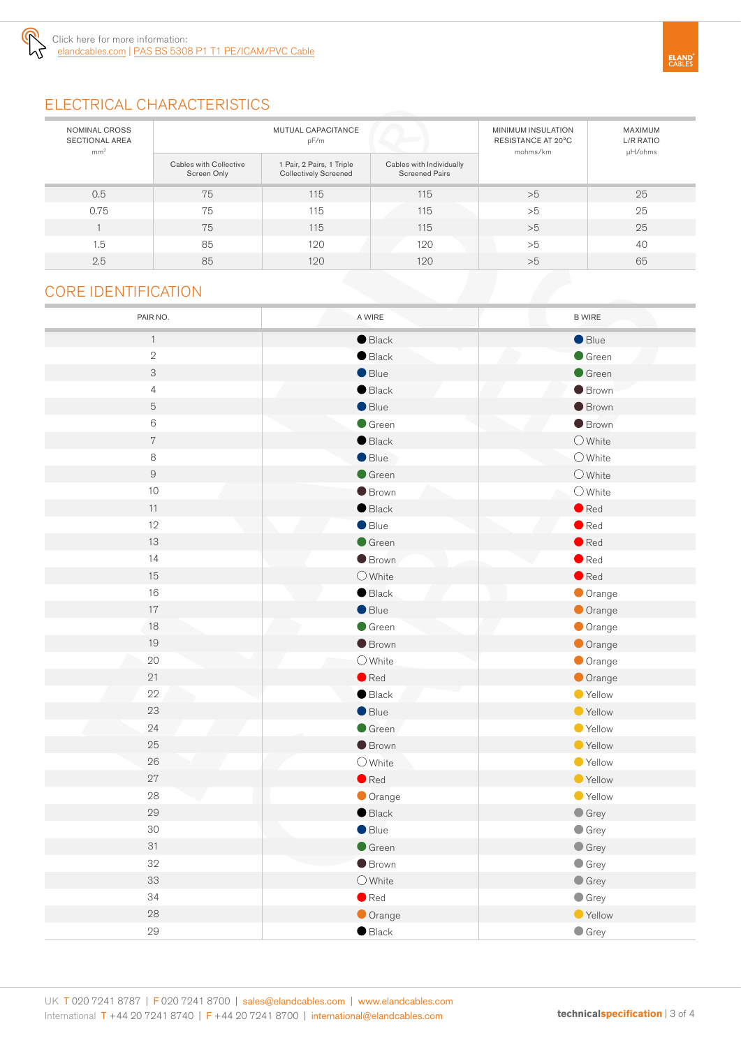

# ELECTRICAL CHARACTERISTICS

| NOMINAL CROSS<br><b>SECTIONAL AREA</b><br>mm <sup>2</sup> | MUTUAL CAPACITANCE<br>pF/m            |                                                           |                                                   | <b>MINIMUM INSULATION</b><br>RESISTANCE AT 20°C<br>mohms/km | MAXIMUM<br>L/R RATIO<br>µH/ohms |
|-----------------------------------------------------------|---------------------------------------|-----------------------------------------------------------|---------------------------------------------------|-------------------------------------------------------------|---------------------------------|
|                                                           | Cables with Collective<br>Screen Only | 1 Pair, 2 Pairs, 1 Triple<br><b>Collectively Screened</b> | Cables with Individually<br><b>Screened Pairs</b> |                                                             |                                 |
| 0.5                                                       | 75                                    | 115                                                       | 115                                               | >5                                                          | 25                              |
| 0.75                                                      | 75                                    | 115                                                       | 115                                               | >5                                                          | 25                              |
|                                                           | 75                                    | 115                                                       | 115                                               | >5                                                          | 25                              |
| 1.5                                                       | 85                                    | 120                                                       | 120                                               | >5                                                          | 40                              |
| 2.5                                                       | 85                                    | 120                                                       | 120                                               | >5                                                          | 65                              |

## CORE IDENTIFICATION

| PAIR NO.       | A WIRE           | <b>B WIRE</b>    |
|----------------|------------------|------------------|
| $\uparrow$     | $\bullet$ Black  | $\bullet$ Blue   |
| $\sqrt{2}$     | $\bullet$ Black  | $\bullet$ Green  |
| 3              | $\bullet$ Blue   | $\bullet$ Green  |
| $\overline{4}$ | $\bullet$ Black  | <b>Brown</b>     |
| 5              | $\bullet$ Blue   | <b>Brown</b>     |
| $6\,$          | $\bullet$ Green  | $\bullet$ Brown  |
| $\,7$          | $\bullet$ Black  | $\bigcirc$ White |
| 8              | Blue             | O White          |
| $\hbox{g}$     | $\bullet$ Green  | $\bigcirc$ White |
| 10             | <b>Brown</b>     | $\bigcirc$ White |
| $11$           | $\bullet$ Black  | $\bullet$ Red    |
| 12             | $\bullet$ Blue   | $\bullet$ Red    |
| 13             | $\bullet$ Green  | $\bullet$ Red    |
| 14             | <b>Brown</b>     | $\bullet$ Red    |
| 15             | $\bigcirc$ White | $\bullet$ Red    |
| 16             | $\bullet$ Black  | Orange           |
| $17\,$         | $\bullet$ Blue   | Orange           |
| 18             | $\bullet$ Green  | Orange           |
| 19             | $\bullet$ Brown  | Orange           |
| 20             | $\bigcirc$ White | Orange           |
| 21             | $\bullet$ Red    | Orange           |
| 22             | $\bullet$ Black  | Yellow           |
| 23             | $\bullet$ Blue   | ● Yellow         |
| 24             | $\bullet$ Green  | ● Yellow         |
| 25             | $\bullet$ Brown  | ● Yellow         |
| 26             | $O$ White        | ● Yellow         |
| 27             | $\bullet$ Red    | ● Yellow         |
| 28             | Orange           | ● Yellow         |
| 29             | $\bullet$ Black  | $\bullet$ Grey   |
| 30             | Blue             | $\bullet$ Grey   |
| 31             | $\bullet$ Green  | $\bullet$ Grey   |
| 32             | <b>Brown</b>     | $\bullet$ Grey   |
| 33             | $\bigcirc$ White | $\bullet$ Grey   |
| 34             | $\bullet$ Red    | $\bullet$ Grey   |
| 28             | Orange           | ● Yellow         |
| 29             | $\bullet$ Black  | $\bullet$ Grey   |